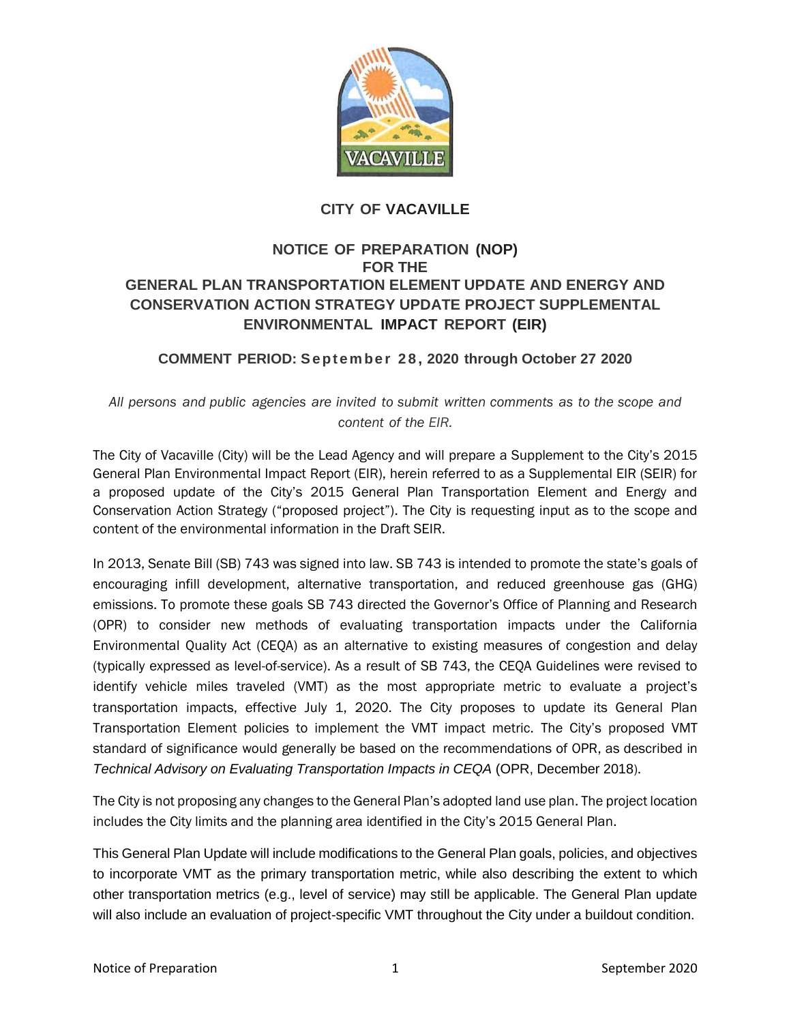

## **CITY OF VACAVILLE**

## **NOTICE OF PREPARATION (NOP) FOR THE GENERAL PLAN TRANSPORTATION ELEMENT UPDATE AND ENERGY AND CONSERVATION ACTION STRATEGY UPDATE PROJECT SUPPLEMENTAL ENVIRONMENTAL IMPACT REPORT (EIR)**

## **COMMENT PERIOD: Se pt e m be r 2 8 , 2020 through October 27 2020**

*All persons and public agencies are invited to submit written comments as to the scope and content of the EIR.*

The City of Vacaville (City) will be the Lead Agency and will prepare a Supplement to the City's 2015 General Plan Environmental Impact Report (EIR), herein referred to as a Supplemental EIR (SEIR) for a proposed update of the City's 2015 General Plan Transportation Element and Energy and Conservation Action Strategy ("proposed project"). The City is requesting input as to the scope and content of the environmental information in the Draft SEIR.

In 2013, Senate Bill (SB) 743 was signed into law. SB 743 is intended to promote the state's goals of encouraging infill development, alternative transportation, and reduced greenhouse gas (GHG) emissions. To promote these goals SB 743 directed the Governor's Office of Planning and Research (OPR) to consider new methods of evaluating transportation impacts under the California Environmental Quality Act (CEQA) as an alternative to existing measures of congestion and delay (typically expressed as level-of-service). As a result of SB 743, the CEQA Guidelines were revised to identify vehicle miles traveled (VMT) as the most appropriate metric to evaluate a project's transportation impacts, effective July 1, 2020. The City proposes to update its General Plan Transportation Element policies to implement the VMT impact metric. The City's proposed VMT standard of significance would generally be based on the recommendations of OPR, as described in *Technical Advisory on Evaluating Transportation Impacts in CEQA* (OPR, December 2018).

The City is not proposing any changes to the General Plan's adopted land use plan. The project location includes the City limits and the planning area identified in the City's 2015 General Plan.

This General Plan Update will include modifications to the General Plan goals, policies, and objectives to incorporate VMT as the primary transportation metric, while also describing the extent to which other transportation metrics (e.g., level of service) may still be applicable. The General Plan update will also include an evaluation of project-specific VMT throughout the City under a buildout condition.